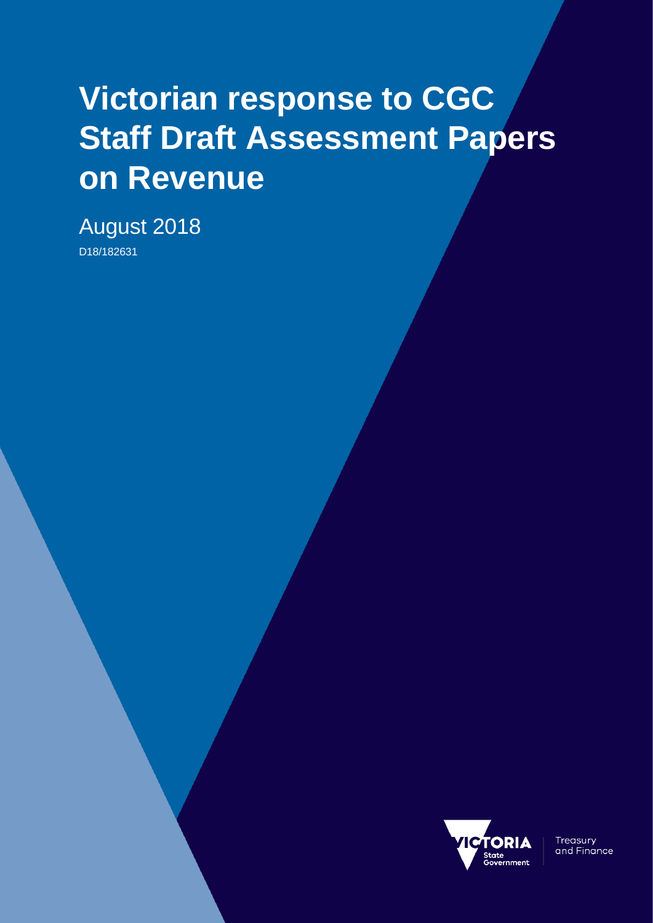# **Victorian response to CGC Staff Draft Assessment Papers on Revenue**

August 2018 D18/182631



**Treasury** and Finance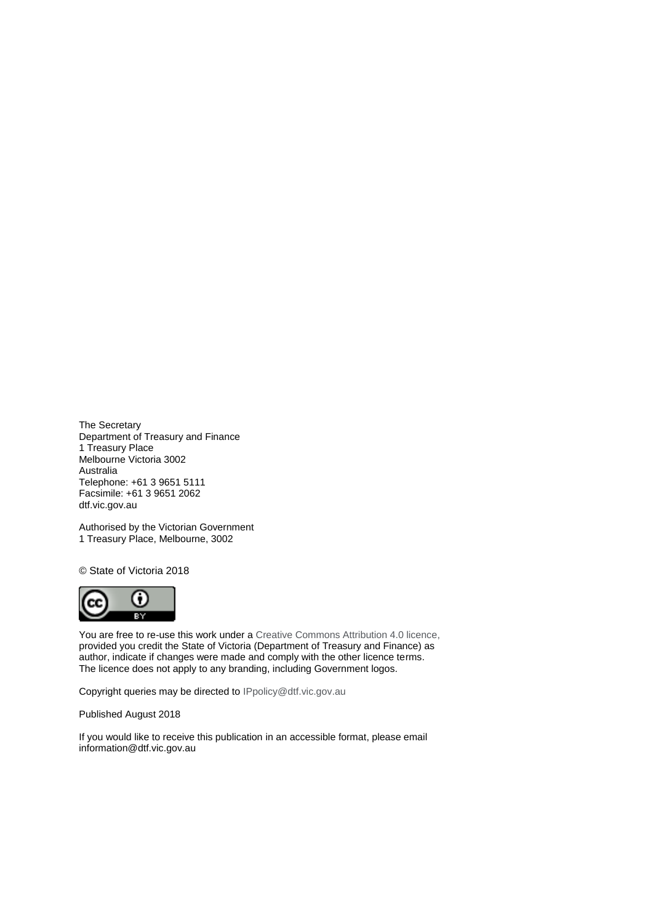The Secretary Department of Treasury and Finance 1 Treasury Place Melbourne Victoria 3002 Australia Telephone: +61 3 9651 5111 Facsimile: +61 3 9651 2062 dtf.vic.gov.au

Authorised by the Victorian Government 1 Treasury Place, Melbourne, 3002

© State of Victoria 2018



You are free to re-use this work under a [Creative Commons Attribution 4.0 licence,](http://creativecommons.org/licenses/by/4.0/) provided you credit the State of Victoria (Department of Treasury and Finance) as author, indicate if changes were made and comply with the other licence terms. The licence does not apply to any branding, including Government logos.

Copyright queries may be directed t[o IPpolicy@dtf.vic.gov.au](mailto:IPpolicy@dtf.vic.gov.au)

Published August 2018

If you would like to receive this publication in an accessible format, please email [information@dtf.vic.gov.au](mailto:information@dtf.vic.gov.au)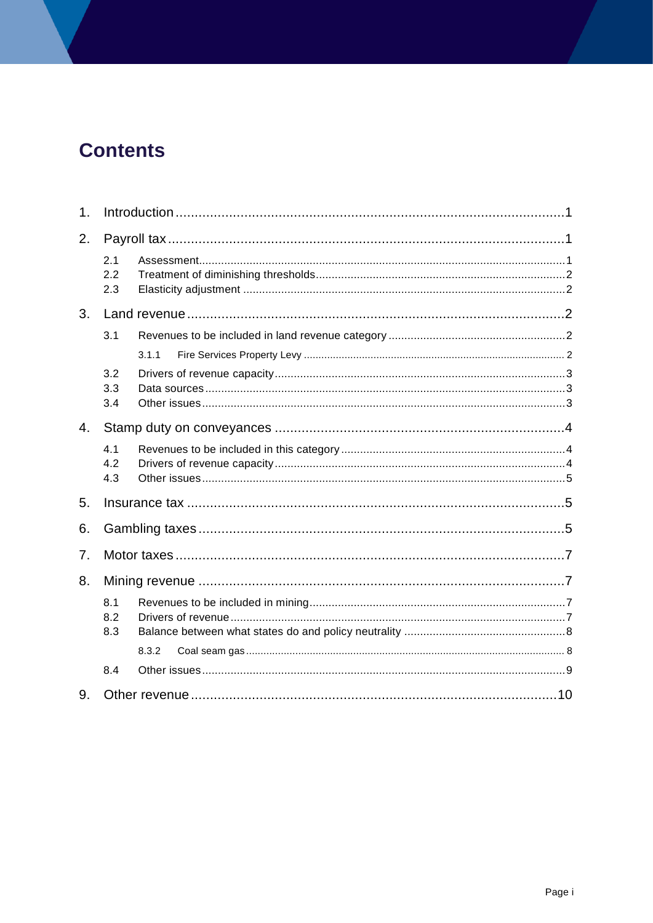# **Contents**

| 1. |                   |       |  |
|----|-------------------|-------|--|
| 2. |                   |       |  |
|    | 2.1<br>2.2<br>2.3 |       |  |
| 3. |                   |       |  |
|    | 3.1               |       |  |
|    |                   | 3.1.1 |  |
|    | 3.2               |       |  |
|    | 3.3               |       |  |
|    | 3.4               |       |  |
| 4. |                   |       |  |
|    | 4.1               |       |  |
|    | 4.2               |       |  |
|    | 4.3               |       |  |
| 5. |                   |       |  |
| 6. |                   |       |  |
| 7. |                   |       |  |
| 8. |                   |       |  |
|    | 8.1<br>8.2<br>8.3 |       |  |
|    |                   | 8.3.2 |  |
|    | 8.4               |       |  |
| 9. |                   |       |  |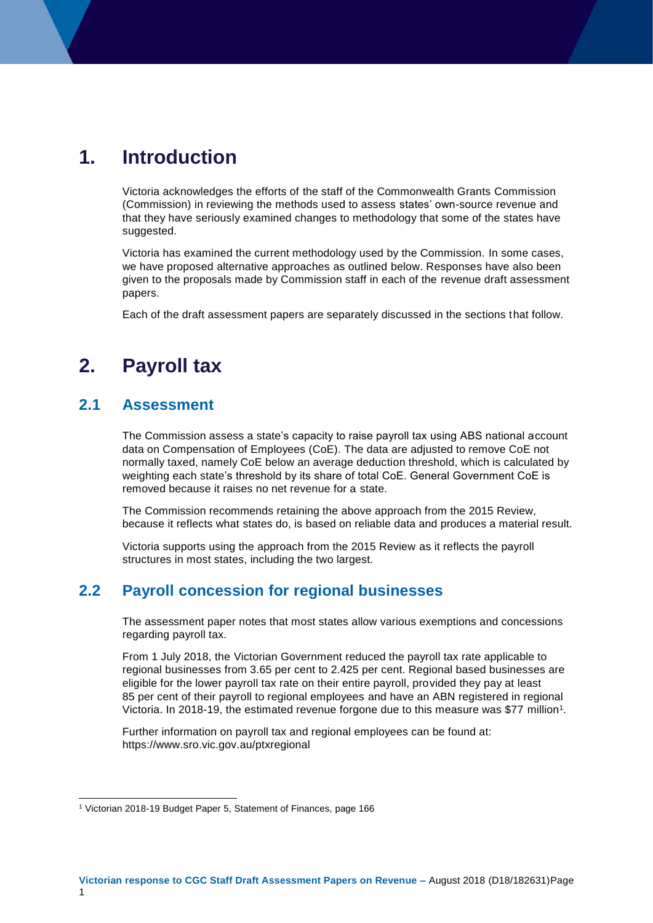# <span id="page-4-0"></span>**1. Introduction**

Victoria acknowledges the efforts of the staff of the Commonwealth Grants Commission (Commission) in reviewing the methods used to assess states' own-source revenue and that they have seriously examined changes to methodology that some of the states have suggested.

Victoria has examined the current methodology used by the Commission. In some cases, we have proposed alternative approaches as outlined below. Responses have also been given to the proposals made by Commission staff in each of the revenue draft assessment papers.

Each of the draft assessment papers are separately discussed in the sections that follow.

# <span id="page-4-1"></span>**2. Payroll tax**

#### <span id="page-4-2"></span>**2.1 Assessment**

1

The Commission assess a state's capacity to raise payroll tax using ABS national account data on Compensation of Employees (CoE). The data are adjusted to remove CoE not normally taxed, namely CoE below an average deduction threshold, which is calculated by weighting each state's threshold by its share of total CoE. General Government CoE is removed because it raises no net revenue for a state.

The Commission recommends retaining the above approach from the 2015 Review, because it reflects what states do, is based on reliable data and produces a material result.

Victoria supports using the approach from the 2015 Review as it reflects the payroll structures in most states, including the two largest.

#### **2.2 Payroll concession for regional businesses**

The assessment paper notes that most states allow various exemptions and concessions regarding payroll tax.

From 1 July 2018, the Victorian Government reduced the payroll tax rate applicable to regional businesses from 3.65 per cent to 2.425 per cent. Regional based businesses are eligible for the lower payroll tax rate on their entire payroll, provided they pay at least 85 per cent of their payroll to regional employees and have an ABN registered in regional Victoria. In 2018-19, the estimated revenue forgone due to this measure was \$77 million<sup>1</sup>.

Further information on payroll tax and regional employees can be found at: https://www.sro.vic.gov.au/ptxregional

<sup>1</sup> Victorian 2018-19 Budget Paper 5, Statement of Finances, page 166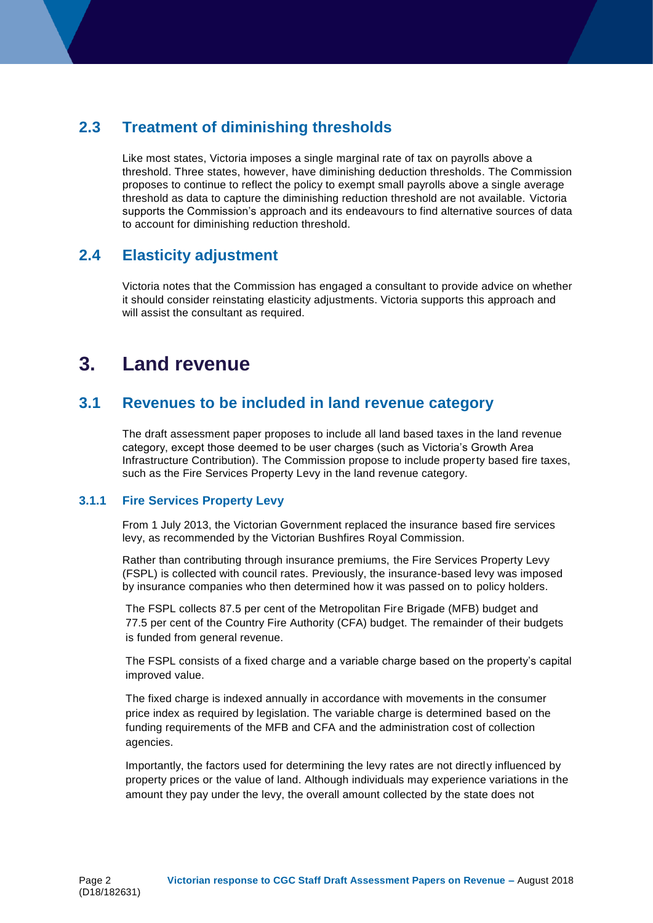### <span id="page-5-0"></span>**2.3 Treatment of diminishing thresholds**

Like most states, Victoria imposes a single marginal rate of tax on payrolls above a threshold. Three states, however, have diminishing deduction thresholds. The Commission proposes to continue to reflect the policy to exempt small payrolls above a single average threshold as data to capture the diminishing reduction threshold are not available. Victoria supports the Commission's approach and its endeavours to find alternative sources of data to account for diminishing reduction threshold.

#### <span id="page-5-1"></span>**2.4 Elasticity adjustment**

Victoria notes that the Commission has engaged a consultant to provide advice on whether it should consider reinstating elasticity adjustments. Victoria supports this approach and will assist the consultant as required.

# <span id="page-5-2"></span>**3. Land revenue**

#### <span id="page-5-3"></span>**3.1 Revenues to be included in land revenue category**

The draft assessment paper proposes to include all land based taxes in the land revenue category, except those deemed to be user charges (such as Victoria's Growth Area Infrastructure Contribution). The Commission propose to include property based fire taxes, such as the Fire Services Property Levy in the land revenue category.

#### <span id="page-5-4"></span>**3.1.1 Fire Services Property Levy**

From 1 July 2013, the Victorian Government replaced the insurance based fire services levy, as recommended by the Victorian Bushfires Royal Commission.

Rather than contributing through insurance premiums, the Fire Services Property Levy (FSPL) is collected with council rates. Previously, the insurance-based levy was imposed by insurance companies who then determined how it was passed on to policy holders.

The FSPL collects 87.5 per cent of the Metropolitan Fire Brigade (MFB) budget and 77.5 per cent of the Country Fire Authority (CFA) budget. The remainder of their budgets is funded from general revenue.

The FSPL consists of a fixed charge and a variable charge based on the property's capital improved value.

The fixed charge is indexed annually in accordance with movements in the consumer price index as required by legislation. The variable charge is determined based on the funding requirements of the MFB and CFA and the administration cost of collection agencies.

Importantly, the factors used for determining the levy rates are not directly influenced by property prices or the value of land. Although individuals may experience variations in the amount they pay under the levy, the overall amount collected by the state does not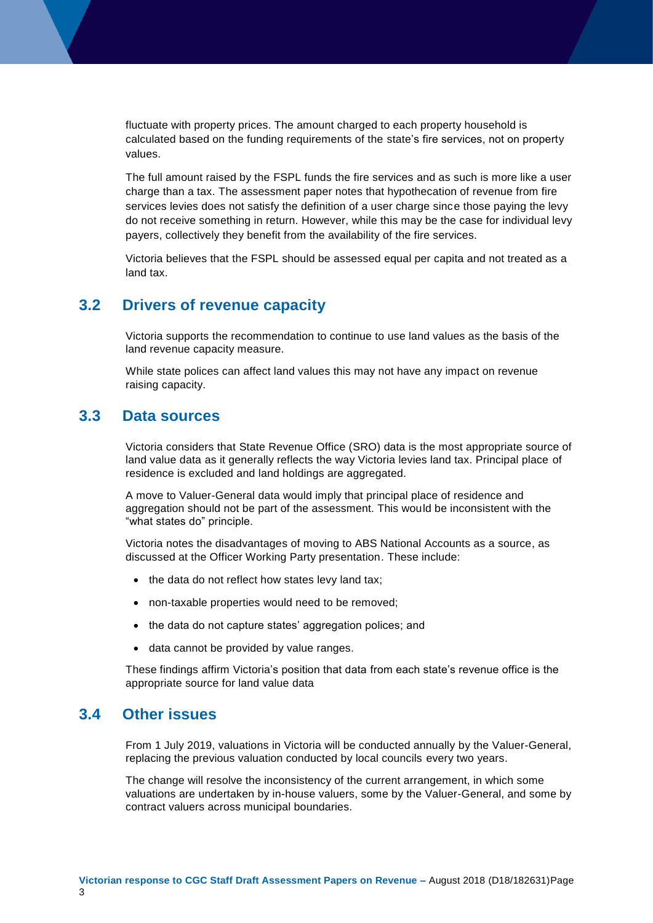fluctuate with property prices. The amount charged to each property household is calculated based on the funding requirements of the state's fire services, not on property values.

The full amount raised by the FSPL funds the fire services and as such is more like a user charge than a tax. The assessment paper notes that hypothecation of revenue from fire services levies does not satisfy the definition of a user charge since those paying the levy do not receive something in return. However, while this may be the case for individual levy payers, collectively they benefit from the availability of the fire services.

Victoria believes that the FSPL should be assessed equal per capita and not treated as a land tax.

#### <span id="page-6-0"></span>**3.2 Drivers of revenue capacity**

Victoria supports the recommendation to continue to use land values as the basis of the land revenue capacity measure.

While state polices can affect land values this may not have any impact on revenue raising capacity.

#### <span id="page-6-1"></span>**3.3 Data sources**

Victoria considers that State Revenue Office (SRO) data is the most appropriate source of land value data as it generally reflects the way Victoria levies land tax. Principal place of residence is excluded and land holdings are aggregated.

A move to Valuer-General data would imply that principal place of residence and aggregation should not be part of the assessment. This would be inconsistent with the "what states do" principle.

Victoria notes the disadvantages of moving to ABS National Accounts as a source, as discussed at the Officer Working Party presentation. These include:

- $\bullet$  the data do not reflect how states levy land tax;
- non-taxable properties would need to be removed;
- the data do not capture states' aggregation polices; and
- data cannot be provided by value ranges.

These findings affirm Victoria's position that data from each state's revenue office is the appropriate source for land value data

#### <span id="page-6-2"></span>**3.4 Other issues**

From 1 July 2019, valuations in Victoria will be conducted annually by the Valuer-General, replacing the previous valuation conducted by local councils every two years.

The change will resolve the inconsistency of the current arrangement, in which some valuations are undertaken by in-house valuers, some by the Valuer-General, and some by contract valuers across municipal boundaries.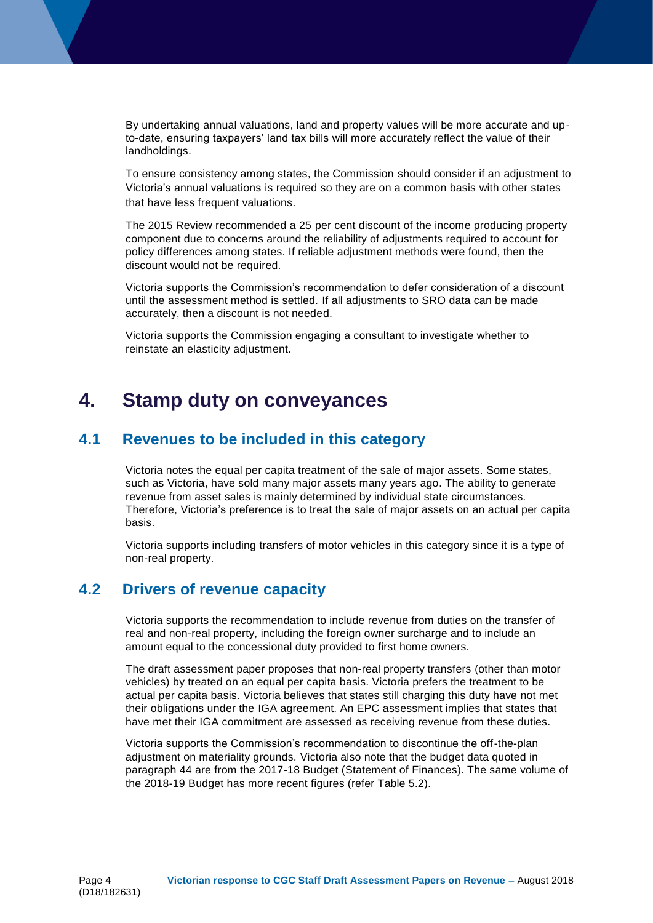By undertaking annual valuations, land and property values will be more accurate and upto-date, ensuring taxpayers' land tax bills will more accurately reflect the value of their landholdings.

To ensure consistency among states, the Commission should consider if an adjustment to Victoria's annual valuations is required so they are on a common basis with other states that have less frequent valuations.

The 2015 Review recommended a 25 per cent discount of the income producing property component due to concerns around the reliability of adjustments required to account for policy differences among states. If reliable adjustment methods were found, then the discount would not be required.

Victoria supports the Commission's recommendation to defer consideration of a discount until the assessment method is settled. If all adjustments to SRO data can be made accurately, then a discount is not needed.

Victoria supports the Commission engaging a consultant to investigate whether to reinstate an elasticity adjustment.

## <span id="page-7-0"></span>**4. Stamp duty on conveyances**

#### <span id="page-7-1"></span>**4.1 Revenues to be included in this category**

Victoria notes the equal per capita treatment of the sale of major assets. Some states, such as Victoria, have sold many major assets many years ago. The ability to generate revenue from asset sales is mainly determined by individual state circumstances. Therefore, Victoria's preference is to treat the sale of major assets on an actual per capita basis.

Victoria supports including transfers of motor vehicles in this category since it is a type of non-real property.

#### <span id="page-7-2"></span>**4.2 Drivers of revenue capacity**

Victoria supports the recommendation to include revenue from duties on the transfer of real and non-real property, including the foreign owner surcharge and to include an amount equal to the concessional duty provided to first home owners.

The draft assessment paper proposes that non-real property transfers (other than motor vehicles) by treated on an equal per capita basis. Victoria prefers the treatment to be actual per capita basis. Victoria believes that states still charging this duty have not met their obligations under the IGA agreement. An EPC assessment implies that states that have met their IGA commitment are assessed as receiving revenue from these duties.

Victoria supports the Commission's recommendation to discontinue the off-the-plan adjustment on materiality grounds. Victoria also note that the budget data quoted in paragraph 44 are from the 2017-18 Budget (Statement of Finances). The same volume of the 2018-19 Budget has more recent figures (refer Table 5.2).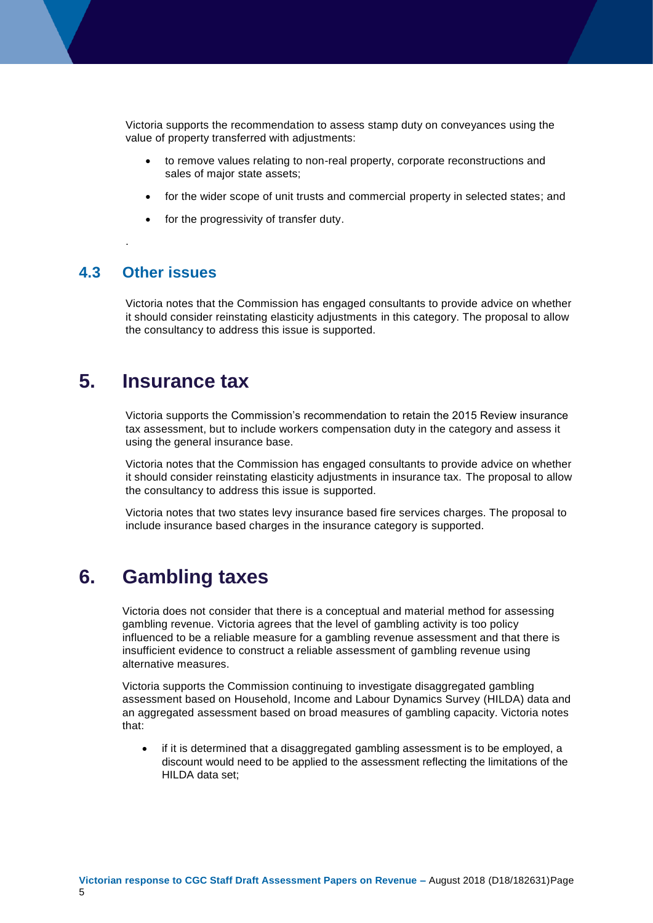Victoria supports the recommendation to assess stamp duty on conveyances using the value of property transferred with adjustments:

- to remove values relating to non-real property, corporate reconstructions and sales of major state assets;
- for the wider scope of unit trusts and commercial property in selected states; and
- for the progressivity of transfer duty.

#### <span id="page-8-0"></span>**4.3 Other issues**

.

Victoria notes that the Commission has engaged consultants to provide advice on whether it should consider reinstating elasticity adjustments in this category. The proposal to allow the consultancy to address this issue is supported.

## <span id="page-8-1"></span>**5. Insurance tax**

Victoria supports the Commission's recommendation to retain the 2015 Review insurance tax assessment, but to include workers compensation duty in the category and assess it using the general insurance base.

Victoria notes that the Commission has engaged consultants to provide advice on whether it should consider reinstating elasticity adjustments in insurance tax. The proposal to allow the consultancy to address this issue is supported.

Victoria notes that two states levy insurance based fire services charges. The proposal to include insurance based charges in the insurance category is supported.

## <span id="page-8-2"></span>**6. Gambling taxes**

Victoria does not consider that there is a conceptual and material method for assessing gambling revenue. Victoria agrees that the level of gambling activity is too policy influenced to be a reliable measure for a gambling revenue assessment and that there is insufficient evidence to construct a reliable assessment of gambling revenue using alternative measures.

Victoria supports the Commission continuing to investigate disaggregated gambling assessment based on Household, Income and Labour Dynamics Survey (HILDA) data and an aggregated assessment based on broad measures of gambling capacity. Victoria notes that:

 if it is determined that a disaggregated gambling assessment is to be employed, a discount would need to be applied to the assessment reflecting the limitations of the HILDA data set;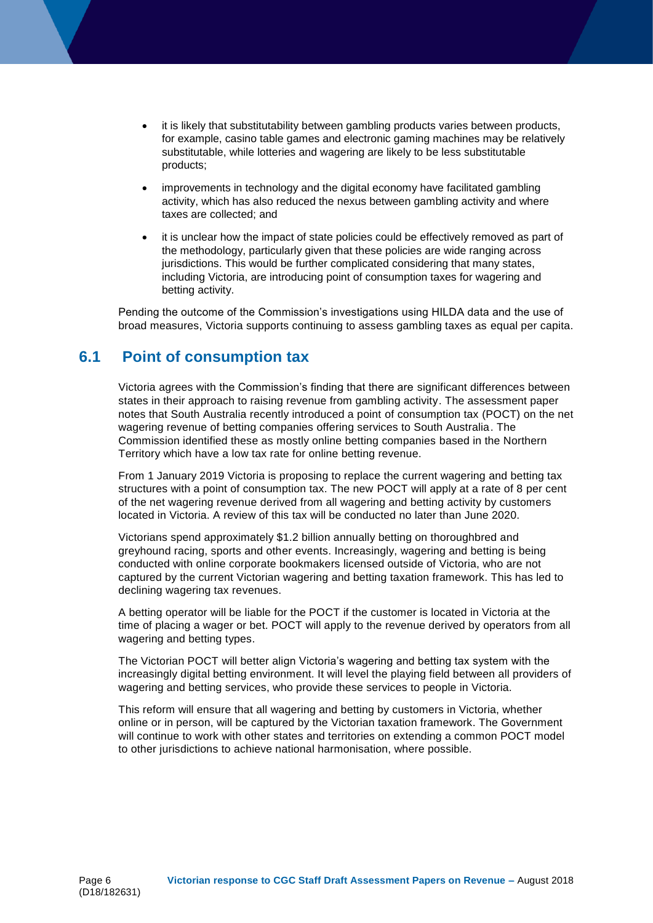- it is likely that substitutability between gambling products varies between products, for example, casino table games and electronic gaming machines may be relatively substitutable, while lotteries and wagering are likely to be less substitutable products;
- improvements in technology and the digital economy have facilitated gambling activity, which has also reduced the nexus between gambling activity and where taxes are collected; and
- it is unclear how the impact of state policies could be effectively removed as part of the methodology, particularly given that these policies are wide ranging across jurisdictions. This would be further complicated considering that many states, including Victoria, are introducing point of consumption taxes for wagering and betting activity.

Pending the outcome of the Commission's investigations using HILDA data and the use of broad measures, Victoria supports continuing to assess gambling taxes as equal per capita.

#### **6.1 Point of consumption tax**

Victoria agrees with the Commission's finding that there are significant differences between states in their approach to raising revenue from gambling activity. The assessment paper notes that South Australia recently introduced a point of consumption tax (POCT) on the net wagering revenue of betting companies offering services to South Australia. The Commission identified these as mostly online betting companies based in the Northern Territory which have a low tax rate for online betting revenue.

From 1 January 2019 Victoria is proposing to replace the current wagering and betting tax structures with a point of consumption tax. The new POCT will apply at a rate of 8 per cent of the net wagering revenue derived from all wagering and betting activity by customers located in Victoria. A review of this tax will be conducted no later than June 2020.

Victorians spend approximately \$1.2 billion annually betting on thoroughbred and greyhound racing, sports and other events. Increasingly, wagering and betting is being conducted with online corporate bookmakers licensed outside of Victoria, who are not captured by the current Victorian wagering and betting taxation framework. This has led to declining wagering tax revenues.

A betting operator will be liable for the POCT if the customer is located in Victoria at the time of placing a wager or bet. POCT will apply to the revenue derived by operators from all wagering and betting types.

The Victorian POCT will better align Victoria's wagering and betting tax system with the increasingly digital betting environment. It will level the playing field between all providers of wagering and betting services, who provide these services to people in Victoria.

This reform will ensure that all wagering and betting by customers in Victoria, whether online or in person, will be captured by the Victorian taxation framework. The Government will continue to work with other states and territories on extending a common POCT model to other jurisdictions to achieve national harmonisation, where possible.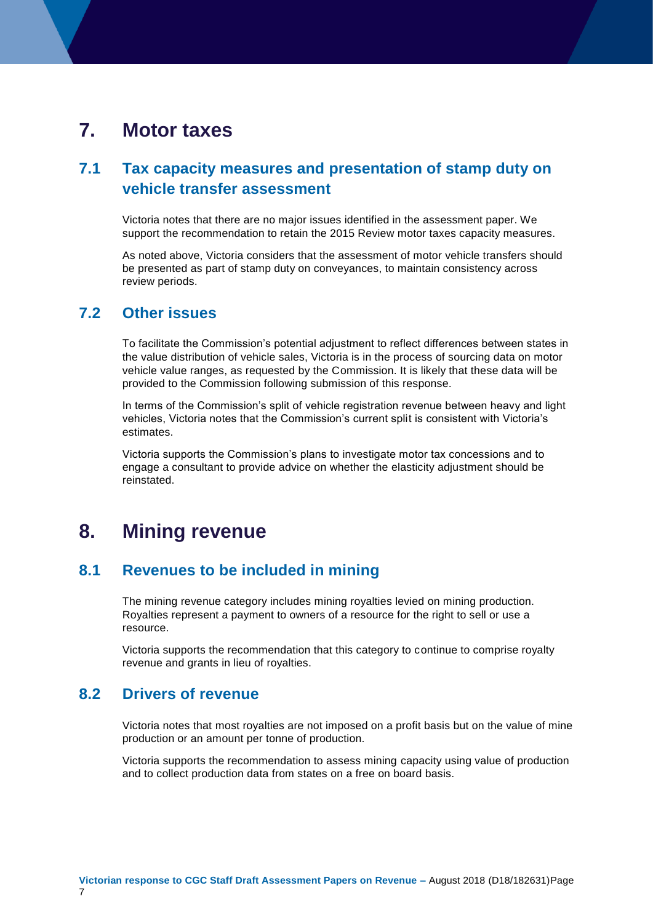# <span id="page-10-0"></span>**7. Motor taxes**

#### **7.1 Tax capacity measures and presentation of stamp duty on vehicle transfer assessment**

Victoria notes that there are no major issues identified in the assessment paper. We support the recommendation to retain the 2015 Review motor taxes capacity measures.

As noted above, Victoria considers that the assessment of motor vehicle transfers should be presented as part of stamp duty on conveyances, to maintain consistency across review periods.

#### **7.2 Other issues**

To facilitate the Commission's potential adjustment to reflect differences between states in the value distribution of vehicle sales, Victoria is in the process of sourcing data on motor vehicle value ranges, as requested by the Commission. It is likely that these data will be provided to the Commission following submission of this response.

In terms of the Commission's split of vehicle registration revenue between heavy and light vehicles, Victoria notes that the Commission's current split is consistent with Victoria's estimates.

Victoria supports the Commission's plans to investigate motor tax concessions and to engage a consultant to provide advice on whether the elasticity adjustment should be reinstated.

# <span id="page-10-1"></span>**8. Mining revenue**

#### <span id="page-10-2"></span>**8.1 Revenues to be included in mining**

The mining revenue category includes mining royalties levied on mining production. Royalties represent a payment to owners of a resource for the right to sell or use a resource.

Victoria supports the recommendation that this category to continue to comprise royalty revenue and grants in lieu of royalties.

#### <span id="page-10-3"></span>**8.2 Drivers of revenue**

Victoria notes that most royalties are not imposed on a profit basis but on the value of mine production or an amount per tonne of production.

Victoria supports the recommendation to assess mining capacity using value of production and to collect production data from states on a free on board basis.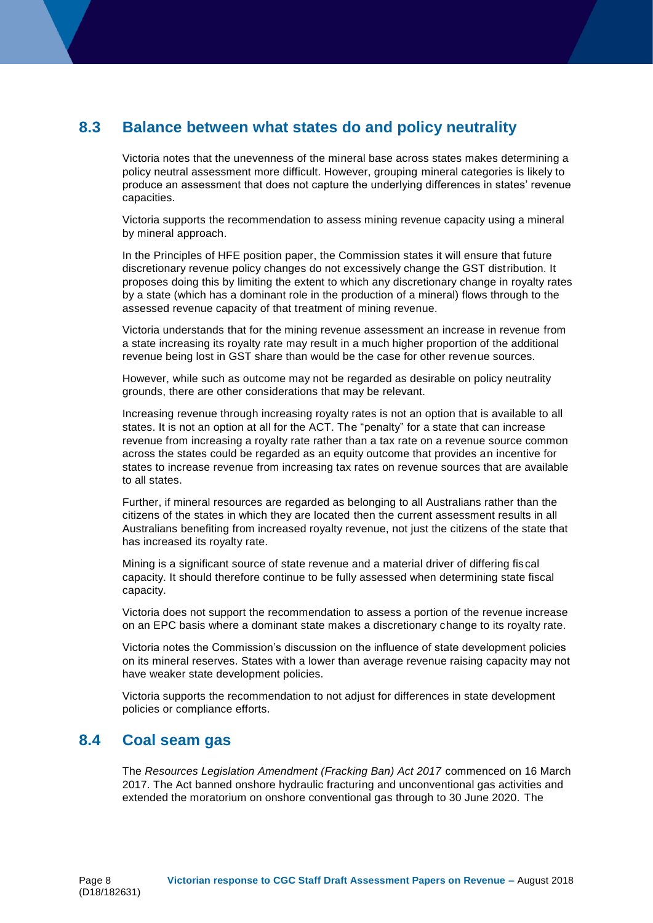#### <span id="page-11-0"></span>**8.3 Balance between what states do and policy neutrality**

Victoria notes that the unevenness of the mineral base across states makes determining a policy neutral assessment more difficult. However, grouping mineral categories is likely to produce an assessment that does not capture the underlying differences in states' revenue capacities.

Victoria supports the recommendation to assess mining revenue capacity using a mineral by mineral approach.

In the Principles of HFE position paper, the Commission states it will ensure that future discretionary revenue policy changes do not excessively change the GST distribution. It proposes doing this by limiting the extent to which any discretionary change in royalty rates by a state (which has a dominant role in the production of a mineral) flows through to the assessed revenue capacity of that treatment of mining revenue.

Victoria understands that for the mining revenue assessment an increase in revenue from a state increasing its royalty rate may result in a much higher proportion of the additional revenue being lost in GST share than would be the case for other revenue sources.

However, while such as outcome may not be regarded as desirable on policy neutrality grounds, there are other considerations that may be relevant.

Increasing revenue through increasing royalty rates is not an option that is available to all states. It is not an option at all for the ACT. The "penalty" for a state that can increase revenue from increasing a royalty rate rather than a tax rate on a revenue source common across the states could be regarded as an equity outcome that provides an incentive for states to increase revenue from increasing tax rates on revenue sources that are available to all states.

Further, if mineral resources are regarded as belonging to all Australians rather than the citizens of the states in which they are located then the current assessment results in all Australians benefiting from increased royalty revenue, not just the citizens of the state that has increased its royalty rate.

Mining is a significant source of state revenue and a material driver of differing fiscal capacity. It should therefore continue to be fully assessed when determining state fiscal capacity.

Victoria does not support the recommendation to assess a portion of the revenue increase on an EPC basis where a dominant state makes a discretionary change to its royalty rate.

Victoria notes the Commission's discussion on the influence of state development policies on its mineral reserves. States with a lower than average revenue raising capacity may not have weaker state development policies.

Victoria supports the recommendation to not adjust for differences in state development policies or compliance efforts.

#### <span id="page-11-1"></span>**8.4 Coal seam gas**

The *Resources Legislation Amendment (Fracking Ban) Act 2017* commenced on 16 March 2017. The Act banned onshore hydraulic fracturing and unconventional gas activities and extended the moratorium on onshore conventional gas through to 30 June 2020. The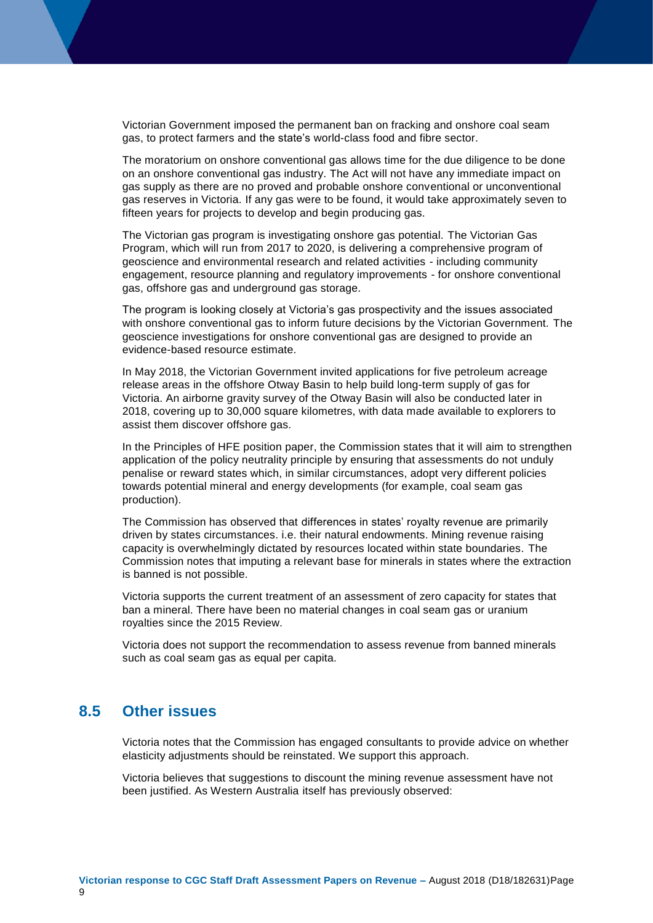Victorian Government imposed the permanent ban on fracking and onshore coal seam gas, to protect farmers and the state's world-class food and fibre sector.

The moratorium on onshore conventional gas allows time for the due diligence to be done on an onshore conventional gas industry. The Act will not have any immediate impact on gas supply as there are no proved and probable onshore conventional or unconventional gas reserves in Victoria. If any gas were to be found, it would take approximately seven to fifteen years for projects to develop and begin producing gas.

The Victorian gas program is investigating onshore gas potential. The Victorian Gas Program, which will run from 2017 to 2020, is delivering a comprehensive program of geoscience and environmental research and related activities - including community engagement, resource planning and regulatory improvements - for onshore conventional gas, offshore gas and underground gas storage.

The program is looking closely at Victoria's gas prospectivity and the issues associated with onshore conventional gas to inform future decisions by the Victorian Government. The geoscience investigations for onshore conventional gas are designed to provide an evidence-based resource estimate.

In May 2018, the Victorian Government invited applications for five petroleum acreage release areas in the offshore Otway Basin to help build long-term supply of gas for Victoria. An airborne gravity survey of the Otway Basin will also be conducted later in 2018, covering up to 30,000 square kilometres, with data made available to explorers to assist them discover offshore gas.

In the Principles of HFE position paper, the Commission states that it will aim to strengthen application of the policy neutrality principle by ensuring that assessments do not unduly penalise or reward states which, in similar circumstances, adopt very different policies towards potential mineral and energy developments (for example, coal seam gas production).

The Commission has observed that differences in states' royalty revenue are primarily driven by states circumstances. i.e. their natural endowments. Mining revenue raising capacity is overwhelmingly dictated by resources located within state boundaries. The Commission notes that imputing a relevant base for minerals in states where the extraction is banned is not possible.

Victoria supports the current treatment of an assessment of zero capacity for states that ban a mineral. There have been no material changes in coal seam gas or uranium royalties since the 2015 Review.

Victoria does not support the recommendation to assess revenue from banned minerals such as coal seam gas as equal per capita.

#### <span id="page-12-0"></span>**8.5 Other issues**

Victoria notes that the Commission has engaged consultants to provide advice on whether elasticity adjustments should be reinstated. We support this approach.

Victoria believes that suggestions to discount the mining revenue assessment have not been justified. As Western Australia itself has previously observed: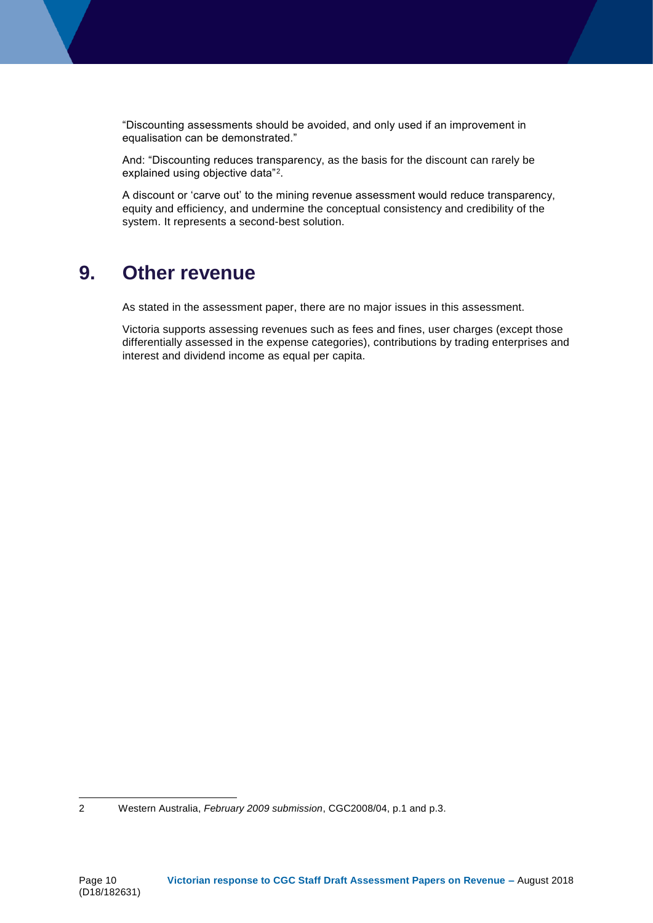"Discounting assessments should be avoided, and only used if an improvement in equalisation can be demonstrated."

And: "Discounting reduces transparency, as the basis for the discount can rarely be explained using objective data"<sup>2</sup>.

A discount or 'carve out' to the mining revenue assessment would reduce transparency, equity and efficiency, and undermine the conceptual consistency and credibility of the system. It represents a second-best solution.

## <span id="page-13-0"></span>**9. Other revenue**

As stated in the assessment paper, there are no major issues in this assessment.

Victoria supports assessing revenues such as fees and fines, user charges (except those differentially assessed in the expense categories), contributions by trading enterprises and interest and dividend income as equal per capita.

-

<sup>2</sup> Western Australia, *February 2009 submission*, CGC2008/04, p.1 and p.3.